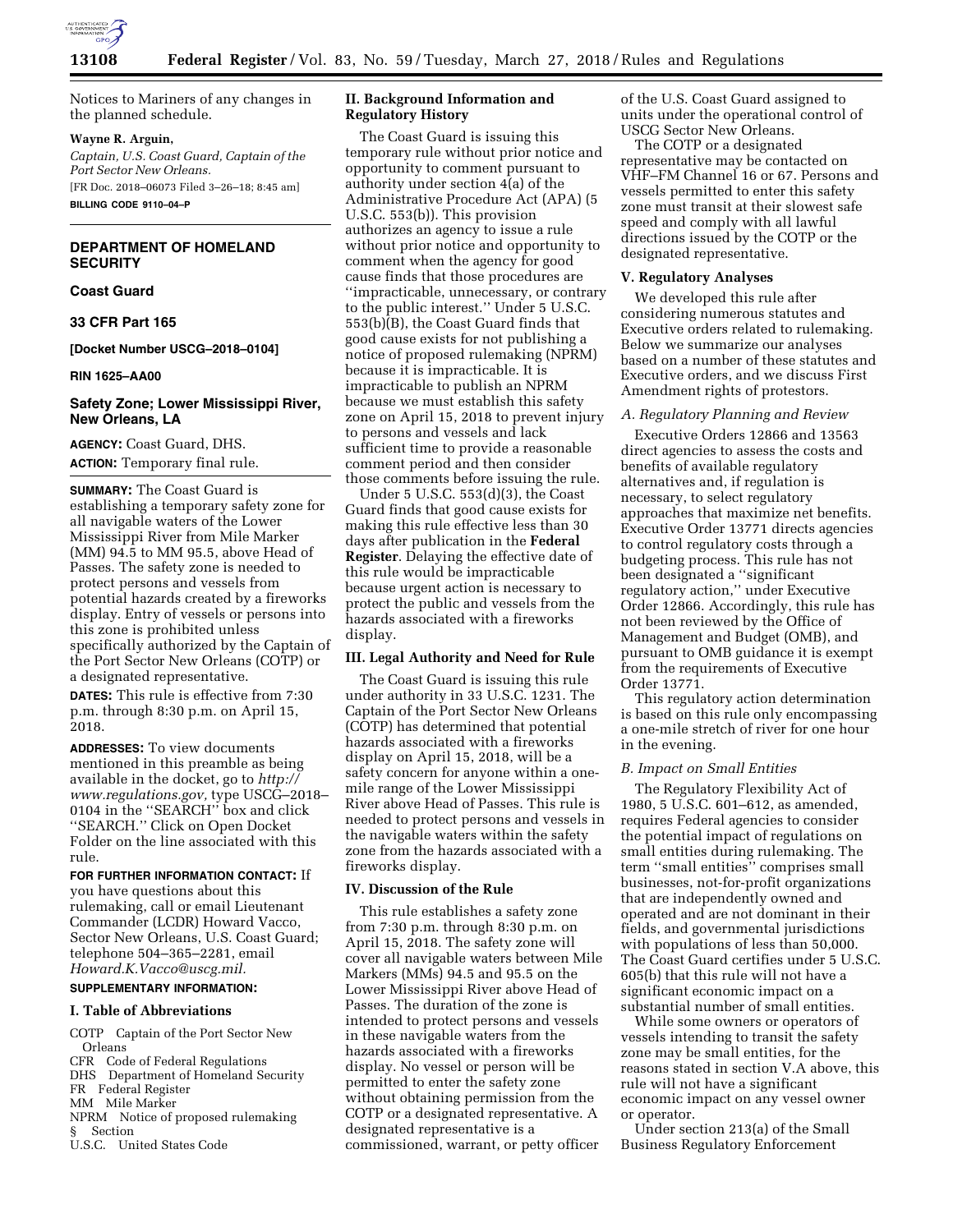

Notices to Mariners of any changes in the planned schedule.

#### **Wayne R. Arguin,**

*Captain, U.S. Coast Guard, Captain of the Port Sector New Orleans.*  [FR Doc. 2018–06073 Filed 3–26–18; 8:45 am]

**BILLING CODE 9110–04–P** 

# **DEPARTMENT OF HOMELAND SECURITY**

## **Coast Guard**

**33 CFR Part 165** 

## **[Docket Number USCG–2018–0104]**

**RIN 1625–AA00** 

# **Safety Zone; Lower Mississippi River, New Orleans, LA**

**AGENCY:** Coast Guard, DHS. **ACTION:** Temporary final rule.

**SUMMARY:** The Coast Guard is establishing a temporary safety zone for all navigable waters of the Lower Mississippi River from Mile Marker (MM) 94.5 to MM 95.5, above Head of Passes. The safety zone is needed to protect persons and vessels from potential hazards created by a fireworks display. Entry of vessels or persons into this zone is prohibited unless specifically authorized by the Captain of the Port Sector New Orleans (COTP) or a designated representative.

**DATES:** This rule is effective from 7:30 p.m. through 8:30 p.m. on April 15, 2018.

**ADDRESSES:** To view documents mentioned in this preamble as being available in the docket, go to *[http://](http://www.regulations.gov) [www.regulations.gov,](http://www.regulations.gov)* type USCG–2018– 0104 in the ''SEARCH'' box and click ''SEARCH.'' Click on Open Docket Folder on the line associated with this rule.

## **FOR FURTHER INFORMATION CONTACT:** If

you have questions about this rulemaking, call or email Lieutenant Commander (LCDR) Howard Vacco, Sector New Orleans, U.S. Coast Guard; telephone 504–365–2281, email *[Howard.K.Vacco@uscg.mil.](mailto:Howard.K.Vacco@uscg.mil)* 

# **SUPPLEMENTARY INFORMATION:**

## **I. Table of Abbreviations**

COTP Captain of the Port Sector New Orleans

CFR Code of Federal Regulations

DHS Department of Homeland Security FR Federal Register

MM Mile Marker

- NPRM Notice of proposed rulemaking § Section
- U.S.C. United States Code

# **II. Background Information and Regulatory History**

The Coast Guard is issuing this temporary rule without prior notice and opportunity to comment pursuant to authority under section 4(a) of the Administrative Procedure Act (APA) (5 U.S.C. 553(b)). This provision authorizes an agency to issue a rule without prior notice and opportunity to comment when the agency for good cause finds that those procedures are ''impracticable, unnecessary, or contrary to the public interest.'' Under 5 U.S.C. 553(b)(B), the Coast Guard finds that good cause exists for not publishing a notice of proposed rulemaking (NPRM) because it is impracticable. It is impracticable to publish an NPRM because we must establish this safety zone on April 15, 2018 to prevent injury to persons and vessels and lack sufficient time to provide a reasonable comment period and then consider those comments before issuing the rule.

Under 5 U.S.C. 553(d)(3), the Coast Guard finds that good cause exists for making this rule effective less than 30 days after publication in the **Federal Register**. Delaying the effective date of this rule would be impracticable because urgent action is necessary to protect the public and vessels from the hazards associated with a fireworks display.

# **III. Legal Authority and Need for Rule**

The Coast Guard is issuing this rule under authority in 33 U.S.C. 1231. The Captain of the Port Sector New Orleans (COTP) has determined that potential hazards associated with a fireworks display on April 15, 2018, will be a safety concern for anyone within a onemile range of the Lower Mississippi River above Head of Passes. This rule is needed to protect persons and vessels in the navigable waters within the safety zone from the hazards associated with a fireworks display.

### **IV. Discussion of the Rule**

This rule establishes a safety zone from 7:30 p.m. through 8:30 p.m. on April 15, 2018. The safety zone will cover all navigable waters between Mile Markers (MMs) 94.5 and 95.5 on the Lower Mississippi River above Head of Passes. The duration of the zone is intended to protect persons and vessels in these navigable waters from the hazards associated with a fireworks display. No vessel or person will be permitted to enter the safety zone without obtaining permission from the COTP or a designated representative. A designated representative is a commissioned, warrant, or petty officer

of the U.S. Coast Guard assigned to units under the operational control of USCG Sector New Orleans.

The COTP or a designated representative may be contacted on VHF–FM Channel 16 or 67. Persons and vessels permitted to enter this safety zone must transit at their slowest safe speed and comply with all lawful directions issued by the COTP or the designated representative.

#### **V. Regulatory Analyses**

We developed this rule after considering numerous statutes and Executive orders related to rulemaking. Below we summarize our analyses based on a number of these statutes and Executive orders, and we discuss First Amendment rights of protestors.

## *A. Regulatory Planning and Review*

Executive Orders 12866 and 13563 direct agencies to assess the costs and benefits of available regulatory alternatives and, if regulation is necessary, to select regulatory approaches that maximize net benefits. Executive Order 13771 directs agencies to control regulatory costs through a budgeting process. This rule has not been designated a ''significant regulatory action,'' under Executive Order 12866. Accordingly, this rule has not been reviewed by the Office of Management and Budget (OMB), and pursuant to OMB guidance it is exempt from the requirements of Executive Order 13771.

This regulatory action determination is based on this rule only encompassing a one-mile stretch of river for one hour in the evening.

# *B. Impact on Small Entities*

The Regulatory Flexibility Act of 1980, 5 U.S.C. 601–612, as amended, requires Federal agencies to consider the potential impact of regulations on small entities during rulemaking. The term ''small entities'' comprises small businesses, not-for-profit organizations that are independently owned and operated and are not dominant in their fields, and governmental jurisdictions with populations of less than 50,000. The Coast Guard certifies under 5 U.S.C. 605(b) that this rule will not have a significant economic impact on a substantial number of small entities.

While some owners or operators of vessels intending to transit the safety zone may be small entities, for the reasons stated in section V.A above, this rule will not have a significant economic impact on any vessel owner or operator.

Under section 213(a) of the Small Business Regulatory Enforcement